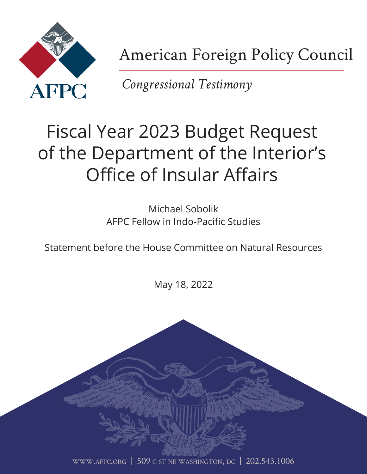

American Foreign Policy Council

*Congressional Testimony*

# Fiscal Year 2023 Budget Request of the Department of the Interior's Office of Insular Affairs

Michael Sobolik AFPC Fellow in Indo-Pacific Studies

Statement before the House Committee on Natural Resources

May 18, 2022

[www.afpc.org](http://www.afpc.org) | 509 c st ne washington, dc | 202.543.1006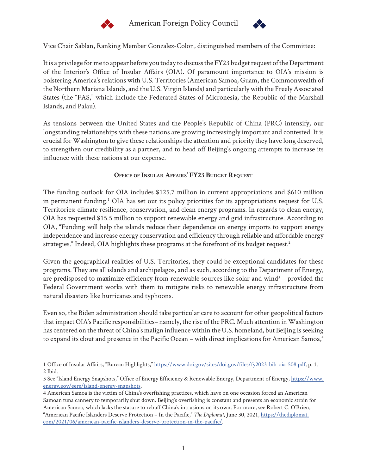



Vice Chair Sablan, Ranking Member Gonzalez-Colon, distinguished members of the Committee:

It is a privilege for me to appear before you today to discuss the FY23 budget request of the Department of the Interior's Office of Insular Affairs (OIA). Of paramount importance to OIA's mission is bolstering America's relations with U.S. Territories (American Samoa, Guam, the Commonwealth of the Northern Mariana Islands, and the U.S. Virgin Islands) and particularly with the Freely Associated States (the "FAS," which include the Federated States of Micronesia, the Republic of the Marshall Islands, and Palau).

As tensions between the United States and the People's Republic of China (PRC) intensify, our longstanding relationships with these nations are growing increasingly important and contested. It is crucial for Washington to give these relationships the attention and priority they have long deserved, to strengthen our credibility as a partner, and to head off Beijing's ongoing attempts to increase its influence with these nations at our expense.

### **Office of Insular Affairs' FY23 Budget Request**

The funding outlook for OIA includes \$125.7 million in current appropriations and \$610 million in permanent funding.<sup>1</sup> OIA has set out its policy priorities for its appropriations request for U.S. Territories: climate resilience, conservation, and clean energy programs. In regards to clean energy, OIA has requested \$15.5 million to support renewable energy and grid infrastructure. According to OIA, "Funding will help the islands reduce their dependence on energy imports to support energy independence and increase energy conservation and efficiency through reliable and affordable energy strategies." Indeed, OIA highlights these programs at the forefront of its budget request.<sup>2</sup>

Given the geographical realities of U.S. Territories, they could be exceptional candidates for these programs. They are all islands and archipelagos, and as such, according to the Department of Energy, are predisposed to maximize efficiency from renewable sources like solar and wind<sup>3</sup> – provided the Federal Government works with them to mitigate risks to renewable energy infrastructure from natural disasters like hurricanes and typhoons.

Even so, the Biden administration should take particular care to account for other geopolitical factors that impact OIA's Pacific responsibilities– namely, the rise of the PRC. Much attention in Washington has centered on the threat of China's malign influence within the U.S. homeland, but Beijing is seeking to expand its clout and presence in the Pacific Ocean – with direct implications for American Samoa,<sup>4</sup>

<sup>1</sup> Office of Insular Affairs, "Bureau Highlights," [https://www.doi.gov/sites/doi.gov/files/fy2023-bib-oia-508.pdf,](https://www.doi.gov/sites/doi.gov/files/fy2023-bib-oia-508.pdf) p. 1. 2 Ibid.

<sup>3</sup> See "Island Energy Snapshots," Office of Energy Efficiency & Renewable Energy, Department of Energy, [https://www.](https://www.energy.gov/eere/island-energy-snapshots) [energy.gov/eere/island-energy-snapshots.](https://www.energy.gov/eere/island-energy-snapshots)

<sup>4</sup> American Samoa is the victim of China's overfishing practices, which have on one occasion forced an American Samoan tuna cannery to temporarily shut down. Beijing's overfishing is constant and presents an economic strain for American Samoa, which lacks the stature to rebuff China's intrusions on its own. For more, see Robert C. O'Brien, "American Pacific Islanders Deserve Protection – In the Pacific," *The Diplomat*, June 30, 2021, [https://thediplomat.](https://thediplomat.com/2021/06/american-pacific-islanders-deserve-protection-in-the-pacific/) [com/2021/06/american-pacific-islanders-deserve-protection-in-the-pacific/.](https://thediplomat.com/2021/06/american-pacific-islanders-deserve-protection-in-the-pacific/)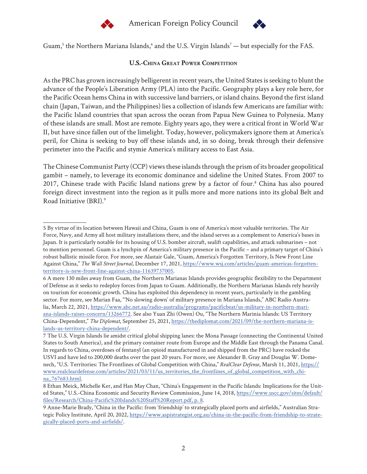



Guam,<sup>5</sup> the Northern Mariana Islands,<sup>6</sup> and the U.S. Virgin Islands<sup>7</sup> — but especially for the FAS.

## **U.S.-China Great Power Competition**

As the PRC has grown increasingly belligerent in recent years, the United States is seeking to blunt the advance of the People's Liberation Army (PLA) into the Pacific. Geography plays a key role here, for the Pacific Ocean hems China in with successive land barriers, or island chains. Beyond the first island chain (Japan, Taiwan, and the Philippines) lies a collection of islands few Americans are familiar with: the Pacific Island countries that span across the ocean from Papua New Guinea to Polynesia. Many of these islands are small. Most are remote. Eighty years ago, they were a critical front in World War II, but have since fallen out of the limelight. Today, however, policymakers ignore them at America's peril, for China is seeking to buy off these islands and, in so doing, break through their defensive perimeter into the Pacific and stymie America's military access to East Asia.

The Chinese Communist Party (CCP) views these islands through the prism of its broader geopolitical gambit – namely, to leverage its economic dominance and sideline the United States. From 2007 to 2017, Chinese trade with Pacific Island nations grew by a factor of four.<sup>8</sup> China has also poured foreign direct investment into the region as it pulls more and more nations into its global Belt and Road Initiative (BRI).9

<sup>5</sup> By virtue of its location between Hawaii and China, Guam is one of America's most valuable territories. The Air Force, Navy, and Army all host military installations there, and the island serves as a complement to America's bases in Japan. It is particularly notable for its housing of U.S. bomber aircraft, sealift capabilities, and attack submarines – not to mention personnel. Guam is a lynchpin of America's military presence in the Pacific – and a primary target of China's robust ballistic missile force. For more, see Alastair Gale, "Guam, America's Forgotten Territory, Is New Front Line Against China," *The Wall Street Journal*, December 17, 2021, [https://www.wsj.com/articles/guam-americas-forgotten](https://www.wsj.com/articles/guam-americas-forgotten-territory-is-new-front-line-against-china-11639737005)[territory-is-new-front-line-against-china-11639737005](https://www.wsj.com/articles/guam-americas-forgotten-territory-is-new-front-line-against-china-11639737005).

<sup>6</sup> A mere 130 miles away from Guam, the Northern Marianas Islands provides geographic flexibility to the Department of Defense as it seeks to redeploy forces from Japan to Guam. Additionally, the Northern Marianas Islands rely heavily on tourism for economic growth. China has exploited this dependency in recent years, particularly in the gambling sector. For more, see Marian Faa, "'No slowing down' of military presence in Mariana Islands," ABC Radio Australia, March 22, 2021, [https://www.abc.net.au/radio-australia/programs/pacificbeat/us-military-in-northern-mari](https://www.abc.net.au/radio-australia/programs/pacificbeat/us-military-in-northern-mariana-islands-raises-concern/13266772)[ana-islands-raises-concern/13266772.](https://www.abc.net.au/radio-australia/programs/pacificbeat/us-military-in-northern-mariana-islands-raises-concern/13266772) See also Yuan Zhi (Owen) Ou, "The Northern Marinia Islands: US Territory China-Dependent," *The Diplomat*, September 25, 2021, [https://thediplomat.com/2021/09/the-northern-mariana-is](https://thediplomat.com/2021/09/the-northern-mariana-islands-us-territory-china-dependent/)[lands-us-territory-china-dependent/](https://thediplomat.com/2021/09/the-northern-mariana-islands-us-territory-china-dependent/).

<sup>7</sup> The U.S. Virgin Islands lie amidst critical global shipping lanes: the Mona Passage (connecting the Continental United States to South America), and the primary container route from Europe and the Middle East through the Panama Canal. In regards to China, overdoses of fentanyl (an opioid manufactured in and shipped from the PRC) have rocked the USVI and have led to 200,000 deaths over the past 20 years. For more, see Alexander B. Gray and Douglas W. Domenech, "U.S. Territories: The Frontlines of Global Competition with China," *RealClear Defense*, Marsh 11, 2021, [https://](https://www.realcleardefense.com/articles/2021/03/11/us_territories_the_frontlines_of_global_competition_with_china_767683.html) [www.realcleardefense.com/articles/2021/03/11/us\\_territories\\_the\\_frontlines\\_of\\_global\\_competition\\_with\\_chi](https://www.realcleardefense.com/articles/2021/03/11/us_territories_the_frontlines_of_global_competition_with_china_767683.html)[na\\_767683.html](https://www.realcleardefense.com/articles/2021/03/11/us_territories_the_frontlines_of_global_competition_with_china_767683.html).

<sup>8</sup> Ethan Meick, Michelle Ker, and Han May Chan, "China's Engagement in the Pacific Islands: Implications for the United States," U.S.-China Economic and Security Review Commission, June 14, 2018, [https://www.uscc.gov/sites/default/](https://www.uscc.gov/sites/default/files/Research/China-Pacific%20Islands%20Staff%20Report.pdf, p. 8) [files/Research/China-Pacific%20Islands%20Staff%20Report.pdf, p. 8](https://www.uscc.gov/sites/default/files/Research/China-Pacific%20Islands%20Staff%20Report.pdf, p. 8).

<sup>9</sup> Anne-Marie Brady, "China in the Pacific: from 'friendship' to strategically placed ports and airfields," Australian Strategic Policy Institute, April 20, 2022, [https://www.aspistrategist.org.au/china-in-the-pacific-from-friendship-to-strate](https://www.aspistrategist.org.au/china-in-the-pacific-from-friendship-to-strategically-placed-ports-and-airfields/)[gically-placed-ports-and-airfields/.](https://www.aspistrategist.org.au/china-in-the-pacific-from-friendship-to-strategically-placed-ports-and-airfields/)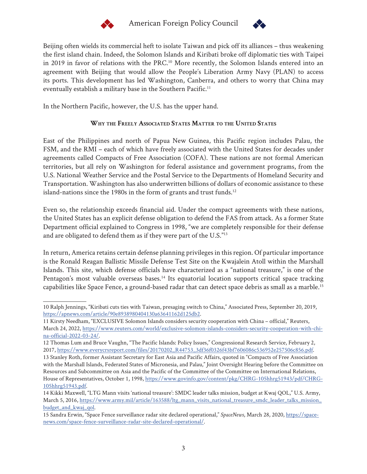



Beijing often wields its commercial heft to isolate Taiwan and pick off its alliances – thus weakening the first island chain. Indeed, the Solomon Islands and Kiribati broke off diplomatic ties with Taipei in 2019 in favor of relations with the PRC.<sup>10</sup> More recently, the Solomon Islands entered into an agreement with Beijing that would allow the People's Liberation Army Navy (PLAN) to access its ports. This development has led Washington, Canberra, and others to worry that China may eventually establish a military base in the Southern Pacific.<sup>11</sup>

In the Northern Pacific, however, the U.S. has the upper hand.

# **Why the Freely Associated States Matter to the United States**

East of the Philippines and north of Papua New Guinea, this Pacific region includes Palau, the FSM, and the RMI – each of which have freely associated with the United States for decades under agreements called Compacts of Free Association (COFA). These nations are not formal American territories, but all rely on Washington for federal assistance and government programs, from the U.S. National Weather Service and the Postal Service to the Departments of Homeland Security and Transportation. Washington has also underwritten billions of dollars of economic assistance to these island-nations since the 1980s in the form of grants and trust funds.<sup>12</sup>

Even so, the relationship exceeds financial aid. Under the compact agreements with these nations, the United States has an explicit defense obligation to defend the FAS from attack. As a former State Department official explained to Congress in 1998, "we are completely responsible for their defense and are obligated to defend them as if they were part of the U.S."13

In return, America retains certain defense planning privileges in this region. Of particular importance is the Ronald Reagan Ballistic Missile Defense Test Site on the Kwajalein Atoll within the Marshall Islands. This site, which defense officials have characterized as a "national treasure," is one of the Pentagon's most valuable overseas bases.<sup>14</sup> Its equatorial location supports critical space tracking capabilities like Space Fence, a ground-based radar that can detect space debris as small as a marble.15

<sup>10</sup> Ralph Jennings, "Kiribati cuts ties with Taiwan, presaging switch to China," Associated Press, September 20, 2019, [https://apnews.com/article/90e8938980404130a63641162d125db2.](https://apnews.com/article/90e8938980404130a63641162d125db2)

<sup>11</sup> Kirsty Needham, "EXCLUSIVE Solomon Islands considers security cooperation with China – official," Reuters, March 24, 2022, [https://www.reuters.com/world/exclusive-solomon-islands-considers-security-cooperation-with-chi](https://www.reuters.com/world/exclusive-solomon-islands-considers-security-cooperation-with-china-official-2022-03-24/)[na-official-2022-03-24/.](https://www.reuters.com/world/exclusive-solomon-islands-considers-security-cooperation-with-china-official-2022-03-24/)

<sup>12</sup> Thomas Lum and Bruce Vaughn, "The Pacific Islands: Policy Issues," Congressional Research Service, February 2, 2017, [https://www.everycrsreport.com/files/20170202\\_R44753\\_3df36f0326f43bf7606086c536952e257506c856.pdf](https://www.everycrsreport.com/files/20170202_R44753_3df36f0326f43bf7606086c536952e257506c856.pdf).

<sup>13</sup> Stanley Roth, former Assistant Secretary for East Asia and Pacific Affairs, quoted in "Compacts of Free Association with the Marshall Islands, Federated States of Micronesia, and Palau," Joint Oversight Hearing before the Committee on Resources and Subcommittee on Asia and the Pacific of the Committee of the Committee on International Relations, House of Representatives, October 1, 1998, [https://www.govinfo.gov/content/pkg/CHRG-105hhrg51943/pdf/CHRG-](https://www.govinfo.gov/content/pkg/CHRG-105hhrg51943/pdf/CHRG-105hhrg51943.pdf)[105hhrg51943.pdf.](https://www.govinfo.gov/content/pkg/CHRG-105hhrg51943/pdf/CHRG-105hhrg51943.pdf)

<sup>14</sup> Kikki Maxwell, "LTG Mann visits 'national treasure': SMDC leader talks mission, budget at Kwaj QOL," U.S. Army, March 5, 2016, [https://www.army.mil/article/163588/ltg\\_mann\\_visits\\_national\\_treasure\\_smdc\\_leader\\_talks\\_mission\\_](https://www.army.mil/article/163588/ltg_mann_visits_national_treasure_smdc_leader_talks_mission_budget_and_kwaj_qol) [budget\\_and\\_kwaj\\_qol](https://www.army.mil/article/163588/ltg_mann_visits_national_treasure_smdc_leader_talks_mission_budget_and_kwaj_qol).

<sup>15</sup> Sandra Erwin, "Space Fence surveillance radar site declared operational," *SpaceNews*, March 28, 2020, [https://space](https://spacenews.com/space-fence-surveillance-radar-site-declared-operational/)[news.com/space-fence-surveillance-radar-site-declared-operational/](https://spacenews.com/space-fence-surveillance-radar-site-declared-operational/).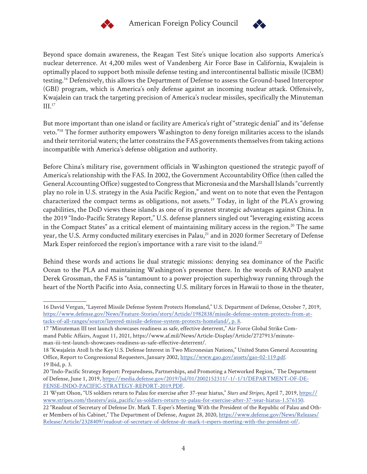



Beyond space domain awareness, the Reagan Test Site's unique location also supports America's nuclear deterrence. At 4,200 miles west of Vandenberg Air Force Base in California, Kwajalein is optimally placed to support both missile defense testing and intercontinental ballistic missile (ICBM) testing.16 Defensively, this allows the Department of Defense to assess the Ground-based Interceptor (GBI) program, which is America's only defense against an incoming nuclear attack. Offensively, Kwajalein can track the targeting precision of America's nuclear missiles, specifically the Minuteman III.17

But more important than one island or facility are America's right of "strategic denial" and its "defense veto."18 The former authority empowers Washington to deny foreign militaries access to the islands and their territorial waters; the latter constrains the FAS governments themselves from taking actions incompatible with America's defense obligation and authority.

Before China's military rise, government officials in Washington questioned the strategic payoff of America's relationship with the FAS. In 2002, the Government Accountability Office (then called the General Accounting Office) suggested to Congress that Micronesia and the Marshall Islands "currently play no role in U.S. strategy in the Asia Pacific Region," and went on to note that even the Pentagon characterized the compact terms as obligations, not assets.<sup>19</sup> Today, in light of the PLA's growing capabilities, the DoD views these islands as one of its greatest strategic advantages against China. In the 2019 "Indo-Pacific Strategy Report," U.S. defense planners singled out "leveraging existing access in the Compact States" as a critical element of maintaining military access in the region.<sup>20</sup> The same year, the U.S. Army conducted military exercises in Palau,<sup>21</sup> and in 2020 former Secretary of Defense Mark Esper reinforced the region's importance with a rare visit to the island.<sup>22</sup>

Behind these words and actions lie dual strategic missions: denying sea dominance of the Pacific Ocean to the PLA and maintaining Washington's presence there. In the words of RAND analyst Derek Grossman, the FAS is "tantamount to a power projection superhighway running through the heart of the North Pacific into Asia, connecting U.S. military forces in Hawaii to those in the theater,

<sup>16</sup> David Vergun, "Layered Missile Defense System Protects Homeland," U.S. Department of Defense, October 7, 2019, [https://www.defense.gov/News/Feature-Stories/story/Article/1982838/missile-defense-system-protects-from-at](https://www.defense.gov/News/Feature-Stories/story/Article/1982838/missile-defense-system-protects-from-attacks-of-all-ranges/source/layered-missile-defense-system-protects-homeland/, p. 8)[tacks-of-all-ranges/source/layered-missile-defense-system-protects-homeland/, p. 8.](https://www.defense.gov/News/Feature-Stories/story/Article/1982838/missile-defense-system-protects-from-attacks-of-all-ranges/source/layered-missile-defense-system-protects-homeland/, p. 8)

<sup>17 &</sup>quot;Minuteman III test launch showcases readiness as safe, effective deterrent," Air Force Global Strike Command Public Affairs, August 11, 2021, https://www.af.mil/News/Article-Display/Article/2727913/minuteman-iii-test-launch-showcases-readiness-as-safe-effective-deterrent/.

<sup>18 &</sup>quot;Kwajalein Atoll Is the Key U.S. Defense Interest in Two Micronesian Nations," United States General Accounting Office, Report to Congressional Requesters, January 2002, [https://www.gao.gov/assets/gao-02-119.pdf.](https://www.gao.gov/assets/gao-02-119.pdf) 19 Ibid, p. 3.

<sup>20 &</sup>quot;Indo-Pacific Strategy Report: Preparedness, Partnerships, and Promoting a Networked Region," The Department of Defense, June 1, 2019, [https://media.defense.gov/2019/Jul/01/2002152311/-1/-1/1/DEPARTMENT-OF-DE-](https://media.defense.gov/2019/Jul/01/2002152311/-1/-1/1/DEPARTMENT-OF-DEFENSE-INDO-PACIFIC-STRATEGY-REPORT-2019.PDF)[FENSE-INDO-PACIFIC-STRATEGY-REPORT-2019.PDF.](https://media.defense.gov/2019/Jul/01/2002152311/-1/-1/1/DEPARTMENT-OF-DEFENSE-INDO-PACIFIC-STRATEGY-REPORT-2019.PDF)

<sup>21</sup> Wyatt Olson, "US soldiers return to Palau for exercise after 37-year hiatus," *Stars and Stripes*, April 7, 2019, [https://](https://www.stripes.com/theaters/asia_pacific/us-soldiers-return-to-palau-for-exercise-after-37-year-hiatus-1.576150) [www.stripes.com/theaters/asia\\_pacific/us-soldiers-return-to-palau-for-exercise-after-37-year-hiatus-1.576150](https://www.stripes.com/theaters/asia_pacific/us-soldiers-return-to-palau-for-exercise-after-37-year-hiatus-1.576150).

<sup>22 &</sup>quot;Readout of Secretary of Defense Dr. Mark T. Esper's Meeting With the President of the Republic of Palau and Other Members of his Cabinet," The Department of Defense, August 28, 2020, [https://www.defense.gov/News/Releases/](https://www.defense.gov/News/Releases/Release/Article/2328409/readout-of-secretary-of-defense-dr-mark-t-espers-meeting-with-the-president-of/) [Release/Article/2328409/readout-of-secretary-of-defense-dr-mark-t-espers-meeting-with-the-president-of/.](https://www.defense.gov/News/Releases/Release/Article/2328409/readout-of-secretary-of-defense-dr-mark-t-espers-meeting-with-the-president-of/)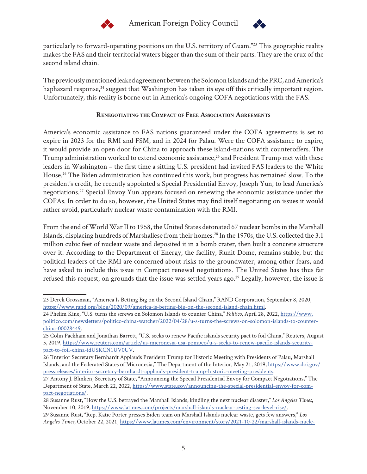



particularly to forward-operating positions on the U.S. territory of Guam."23 This geographic reality makes the FAS and their territorial waters bigger than the sum of their parts. They are the crux of the second island chain.

The previously mentioned leaked agreement between the Solomon Islands and the PRC, and America's haphazard response,<sup>24</sup> suggest that Washington has taken its eye off this critically important region. Unfortunately, this reality is borne out in America's ongoing COFA negotiations with the FAS.

# **Renegotiating the Compact of Free Association Agreements**

America's economic assistance to FAS nations guaranteed under the COFA agreements is set to expire in 2023 for the RMI and FSM, and in 2024 for Palau. Were the COFA assistance to expire, it would provide an open door for China to approach these island-nations with counteroffers. The Trump administration worked to extend economic assistance,<sup>25</sup> and President Trump met with these leaders in Washington – the first time a sitting U.S. president had invited FAS leaders to the White House.26 The Biden administration has continued this work, but progress has remained slow. To the president's credit, he recently appointed a Special Presidential Envoy, Joseph Yun, to lead America's negotiations.27 Special Envoy Yun appears focused on renewing the economic assistance under the COFAs. In order to do so, however, the United States may find itself negotiating on issues it would rather avoid, particularly nuclear waste contamination with the RMI.

From the end of World War II to 1958, the United States detonated 67 nuclear bombs in the Marshall Islands, displacing hundreds of Marshallese from their homes.<sup>28</sup> In the 1970s, the U.S. collected the 3.1 million cubic feet of nuclear waste and deposited it in a bomb crater, then built a concrete structure over it. According to the Department of Energy, the facility, Runit Dome, remains stable, but the political leaders of the RMI are concerned about risks to the groundwater, among other fears, and have asked to include this issue in Compact renewal negotiations. The United States has thus far refused this request, on grounds that the issue was settled years ago.<sup>29</sup> Legally, however, the issue is

<sup>23</sup> Derek Grossman, "America Is Betting Big on the Second Island Chain," RAND Corporation, September 8, 2020, [https://www.rand.org/blog/2020/09/america-is-betting-big-on-the-second-island-chain.html.](https://www.rand.org/blog/2020/09/america-is-betting-big-on-the-second-island-chain.html)

<sup>24</sup> Phelim Kine, "U.S. turns the screws on Solomon Islands to counter China," *Politico*, April 28, 2022, [https://www.](https://www.politico.com/newsletters/politico-china-watcher/2022/04/28/u-s-turns-the-screws-on-solomon-islands-to-counter-china-00028449) [politico.com/newsletters/politico-china-watcher/2022/04/28/u-s-turns-the-screws-on-solomon-islands-to-counter](https://www.politico.com/newsletters/politico-china-watcher/2022/04/28/u-s-turns-the-screws-on-solomon-islands-to-counter-china-00028449)[china-00028449.](https://www.politico.com/newsletters/politico-china-watcher/2022/04/28/u-s-turns-the-screws-on-solomon-islands-to-counter-china-00028449)

<sup>25</sup> Colin Packham and Jonathan Barrett, "U.S. seeks to renew Pacific islands security pact to foil China," Reuters, August 5, 2019, [https://www.reuters.com/article/us-micronesia-usa-pompeo/u-s-seeks-to-renew-pacific-islands-security](https://www.reuters.com/article/us-micronesia-usa-pompeo/u-s-seeks-to-renew-pacific-islands-security-pact-to-foil-china-idUSKCN1UV0UV)[pact-to-foil-china-idUSKCN1UV0UV.](https://www.reuters.com/article/us-micronesia-usa-pompeo/u-s-seeks-to-renew-pacific-islands-security-pact-to-foil-china-idUSKCN1UV0UV)

<sup>26 &</sup>quot;Interior Secretary Bernhardt Applauds President Trump for Historic Meeting with Presidents of Palau, Marshall Islands, and the Federated States of Micronesia," The Department of the Interior, May 21, 2019, [https://www.doi.gov/](https://www.doi.gov/pressreleases/interior-secretary-bernhardt-applauds-president-trump-historic-meeting-presidents) [pressreleases/interior-secretary-bernhardt-applauds-president-trump-historic-meeting-presidents](https://www.doi.gov/pressreleases/interior-secretary-bernhardt-applauds-president-trump-historic-meeting-presidents).

<sup>27</sup> Antony J. Blinken, Secretary of State, "Announcing the Special Presidential Envoy for Compact Negotiations," The Department of State, March 22, 2022, [https://www.state.gov/announcing-the-special-presidential-envoy-for-com](https://www.state.gov/announcing-the-special-presidential-envoy-for-compact-negotiations/)[pact-negotiations/](https://www.state.gov/announcing-the-special-presidential-envoy-for-compact-negotiations/).

<sup>28</sup> Susanne Rust, "How the U.S. betrayed the Marshall Islands, kindling the next nuclear disaster," *Los Angeles Times*, November 10, 2019,<https://www.latimes.com/projects/marshall-islands-nuclear-testing-sea-level-rise/>.

<sup>29</sup> Susanne Rust, "Rep. Katie Porter presses Biden team on Marshall Islands nuclear waste, gets few answers," *Los Angeles Times*, October 22, 2021, [https://www.latimes.com/environment/story/2021-10-22/marshall-islands-nucle-](https://www.latimes.com/environment/story/2021-10-22/marshall-islands-nuclear-waste-congressional-hearing-compact)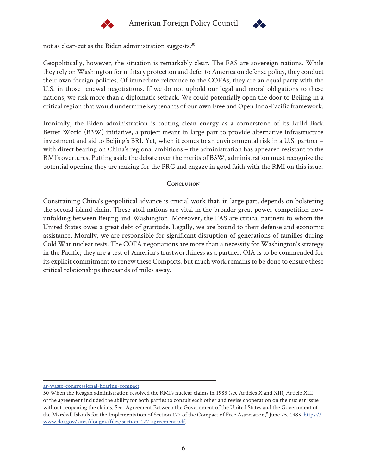



not as clear-cut as the Biden administration suggests.<sup>30</sup>

Geopolitically, however, the situation is remarkably clear. The FAS are sovereign nations. While they rely on Washington for military protection and defer to America on defense policy, they conduct their own foreign policies. Of immediate relevance to the COFAs, they are an equal party with the U.S. in those renewal negotiations. If we do not uphold our legal and moral obligations to these nations, we risk more than a diplomatic setback. We could potentially open the door to Beijing in a critical region that would undermine key tenants of our own Free and Open Indo-Pacific framework.

Ironically, the Biden administration is touting clean energy as a cornerstone of its Build Back Better World (B3W) initiative, a project meant in large part to provide alternative infrastructure investment and aid to Beijing's BRI. Yet, when it comes to an environmental risk in a U.S. partner – with direct bearing on China's regional ambitions – the administration has appeared resistant to the RMI's overtures. Putting aside the debate over the merits of B3W, administration must recognize the potential opening they are making for the PRC and engage in good faith with the RMI on this issue.

### **Conclusion**

Constraining China's geopolitical advance is crucial work that, in large part, depends on bolstering the second island chain. These atoll nations are vital in the broader great power competition now unfolding between Beijing and Washington. Moreover, the FAS are critical partners to whom the United States owes a great debt of gratitude. Legally, we are bound to their defense and economic assistance. Morally, we are responsible for significant disruption of generations of families during Cold War nuclear tests. The COFA negotiations are more than a necessity for Washington's strategy in the Pacific; they are a test of America's trustworthiness as a partner. OIA is to be commended for its explicit commitment to renew these Compacts, but much work remains to be done to ensure these critical relationships thousands of miles away.

[ar-waste-congressional-hearing-compact.](https://www.latimes.com/environment/story/2021-10-22/marshall-islands-nuclear-waste-congressional-hearing-compact)

<sup>30</sup> When the Reagan administration resolved the RMI's nuclear claims in 1983 (see Articles X and XII), Article XIII of the agreement included the ability for both parties to consult each other and revise cooperation on the nuclear issue without reopening the claims. See "Agreement Between the Government of the United States and the Government of the Marshall Islands for the Implementation of Section 177 of the Compact of Free Association," June 25, 1983, [https://](https://www.doi.gov/sites/doi.gov/files/section-177-agreement.pdf) [www.doi.gov/sites/doi.gov/files/section-177-agreement.pdf.](https://www.doi.gov/sites/doi.gov/files/section-177-agreement.pdf)